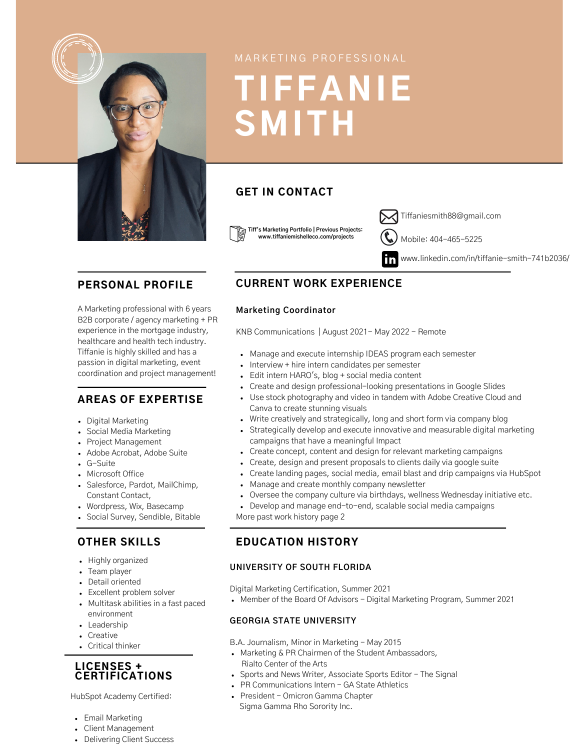

MARKETING PROFESSIONAL

# TIFFANIE **SMITH**

#### GET IN CONTACT

**Tiff's Marketing Portfolio | Previous Projects: www.tiffaniemishelleco.com/projects**



Mobile: 404-465-5225

www.linkedin.com/in/tiffanie-smith-741b2036/

#### PERSONAL PROFILE

A Marketing professional with 6 years B2B corporate / agency marketing + PR experience in the mortgage industry, healthcare and health tech industry. Tiffanie is highly skilled and has a passion in digital marketing, event coordination and project management!

#### AREAS OF EXPERTISE

- Digital Marketing
- Social Media Marketing
- Project Management
- Adobe Acrobat, Adobe Suite
- G-Suite
- Microsoft Office
- Salesforce, Pardot, MailChimp, Constant Contact,
- Wordpress, Wix, Basecamp
- Social Survey, Sendible, Bitable

- Highly organized
- Team player
- Detail oriented
- Excellent problem solver
- Multitask abilities in a fast paced environment
- Leadership
- Creative
- Critical thinker

#### LICENSES + CERTIFICATIONS

HubSpot Academy Certified:

- Email Marketing
- Client Management
- Delivering Client Success

### **CURRENT WORK EXPERIENCE**

#### **Marketing Coordinator**

KNB Communications | August 2021- May 2022 - Remote

- Manage and execute internship IDEAS program each semester
- Interview + hire intern candidates per semester
- Edit intern HARO's, blog + social media content
- Create and design professional-looking presentations in Google Slides
- Use stock photography and video in tandem with Adobe Creative Cloud and Canva to create stunning visuals
- Write creatively and strategically, long and short form via company blog
- Strategically develop and execute innovative and measurable digital marketing campaigns that have a meaningful Impact
- Create concept, content and design for relevant marketing campaigns
- Create, design and present proposals to clients daily via google suite
- Create landing pages, social media, email blast and drip campaigns via HubSpot
- Manage and create monthly company newsletter
- Oversee the company culture via birthdays, wellness Wednesday initiative etc.
- Develop and manage end-to-end, scalable social media campaigns More past work history page 2

#### OTHER SKILLS EDUCATION HISTORY

#### **UNIVERSITY OF SOUTH FLORIDA**

Digital Marketing Certification, Summer 2021

Member of the Board Of Advisors - Digital Marketing Program, Summer 2021

#### **GEORGIA STATE UNIVERSITY**

B.A. Journalism, Minor in Marketing - May 2015

- Marketing & PR Chairmen of the Student Ambassadors, Rialto Center of the Arts
- Sports and News Writer, Associate Sports Editor The Signal
- PR Communications Intern GA State Athletics
- President Omicron Gamma Chapter Sigma Gamma Rho Sorority Inc.